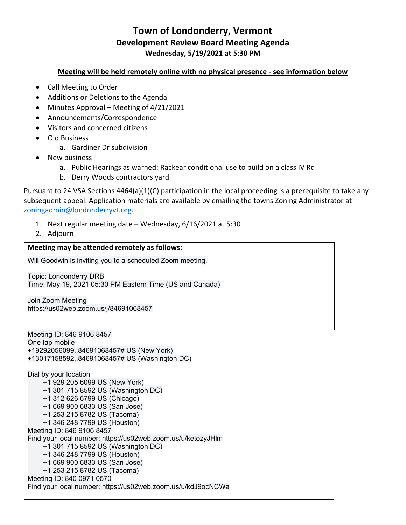# **Town of Londonderry, Vermont Development Review Board Meeting Agenda Wednesday, 5/19/2021 at 5:30 PM**

### **Meeting will be held remotely online with no physical presence - see information below**

- Call Meeting to Order
- Additions or Deletions to the Agenda
- Minutes Approval Meeting of 4/21/2021
- Announcements/Correspondence
- Visitors and concerned citizens
- Old Business
	- a. Gardiner Dr subdivision
- New business
	- a. Public Hearings as warned: Rackear conditional use to build on a class IV Rd
	- b. Derry Woods contractors yard

Pursuant to 24 VSA Sections 4464(a)(1)(C) participation in the local proceeding is a prerequisite to take any subsequent appeal. Application materials are available by emailing the towns Zoning Administrator at zoningadmin@londonderryvt.org.

- 1. Next regular meeting date Wednesday, 6/16/2021 at 5:30
- 2. Adjourn

# **Meeting may be attended remotely as follows:** Will Goodwin is inviting you to a scheduled Zoom meeting. Topic: Londonderry DRB Time: May 19, 2021 05:30 PM Eastern Time (US and Canada) Join Zoom Meeting https://us02web.zoom.us/j/84691068457 Meeting ID: 846 9106 8457 One tap mobile +19292056099,,84691068457# US (New York) +13017158592,,84691068457# US (Washington DC) Dial by your location +1 929 205 6099 US (New York) +1 301 715 8592 US (Washington DC) +1 312 626 6799 US (Chicago) +1 669 900 6833 US (San Jose) +1 253 215 8782 US (Tacoma) +1 346 248 7799 US (Houston) Meeting ID: 846 9106 8457 Find your local number: https://us02web.zoom.us/u/ketozyJHlm +1 301 715 8592 US (Washington DC) +1 346 248 7799 US (Houston) +1 669 900 6833 US (San Jose) +1 253 215 8782 US (Tacoma) Meeting ID: 840 0971 0570 Find your local number: https://us02web.zoom.us/u/kdJ9ocNCWa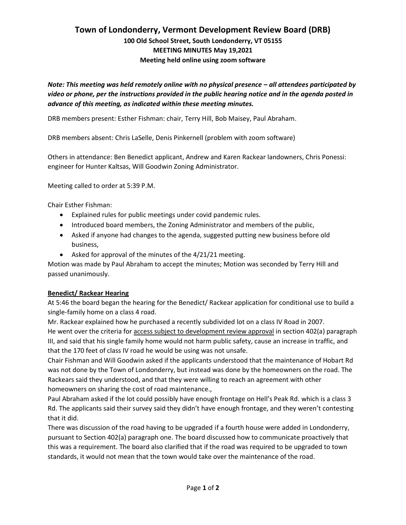## **Town of Londonderry, Vermont Development Review Board (DRB) 100 Old School Street, South Londonderry, VT 05155 MEETING MINUTES May 19,2021 Meeting held online using zoom software**

*Note: This meeting was held remotely online with no physical presence – all attendees participated by video or phone, per the instructions provided in the public hearing notice and in the agenda posted in advance of this meeting, as indicated within these meeting minutes.*

DRB members present: Esther Fishman: chair, Terry Hill, Bob Maisey, Paul Abraham.

DRB members absent: Chris LaSelle, Denis Pinkernell (problem with zoom software)

Others in attendance: Ben Benedict applicant, Andrew and Karen Rackear landowners, Chris Ponessi: engineer for Hunter Kaltsas, Will Goodwin Zoning Administrator.

Meeting called to order at 5:39 P.M.

Chair Esther Fishman:

- Explained rules for public meetings under covid pandemic rules.
- Introduced board members, the Zoning Administrator and members of the public,
- Asked if anyone had changes to the agenda, suggested putting new business before old business,
- Asked for approval of the minutes of the 4/21/21 meeting.

Motion was made by Paul Abraham to accept the minutes; Motion was seconded by Terry Hill and passed unanimously.

#### **Benedict/ Rackear Hearing**

At 5:46 the board began the hearing for the Benedict/ Rackear application for conditional use to build a single-family home on a class 4 road.

Mr. Rackear explained how he purchased a recently subdivided lot on a class IV Road in 2007. He went over the criteria for access subject to development review approval in section 402(a) paragraph III, and said that his single family home would not harm public safety, cause an increase in traffic, and that the 170 feet of class IV road he would be using was not unsafe.

Chair Fishman and Will Goodwin asked if the applicants understood that the maintenance of Hobart Rd was not done by the Town of Londonderry, but instead was done by the homeowners on the road. The Rackears said they understood, and that they were willing to reach an agreement with other homeowners on sharing the cost of road maintenance.,

Paul Abraham asked if the lot could possibly have enough frontage on Hell's Peak Rd. which is a class 3 Rd. The applicants said their survey said they didn't have enough frontage, and they weren't contesting that it did.

There was discussion of the road having to be upgraded if a fourth house were added in Londonderry, pursuant to Section 402(a) paragraph one. The board discussed how to communicate proactively that this was a requirement. The board also clarified that if the road was required to be upgraded to town standards, it would not mean that the town would take over the maintenance of the road.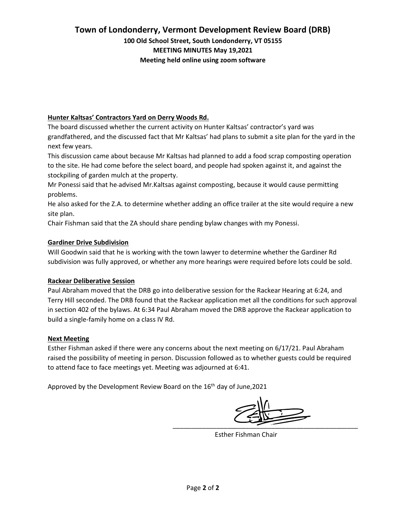## **Town of Londonderry, Vermont Development Review Board (DRB)**

**100 Old School Street, South Londonderry, VT 05155 MEETING MINUTES May 19,2021 Meeting held online using zoom software**

### **Hunter Kaltsas' Contractors Yard on Derry Woods Rd.**

The board discussed whether the current activity on Hunter Kaltsas' contractor's yard was grandfathered, and the discussed fact that Mr Kaltsas' had plans to submit a site plan for the yard in the next few years.

This discussion came about because Mr Kaltsas had planned to add a food scrap composting operation to the site. He had come before the select board, and people had spoken against it, and against the stockpiling of garden mulch at the property.

Mr Ponessi said that he advised Mr.Kaltsas against composting, because it would cause permitting problems.

He also asked for the Z.A. to determine whether adding an office trailer at the site would require a new site plan.

Chair Fishman said that the ZA should share pending bylaw changes with my Ponessi.

### **Gardiner Drive Subdivision**

Will Goodwin said that he is working with the town lawyer to determine whether the Gardiner Rd subdivision was fully approved, or whether any more hearings were required before lots could be sold.

#### **Rackear Deliberative Session**

Paul Abraham moved that the DRB go into deliberative session for the Rackear Hearing at 6:24, and Terry Hill seconded. The DRB found that the Rackear application met all the conditions for such approval in section 402 of the bylaws. At 6:34 Paul Abraham moved the DRB approve the Rackear application to build a single-family home on a class IV Rd.

#### **Next Meeting**

Esther Fishman asked if there were any concerns about the next meeting on 6/17/21. Paul Abraham raised the possibility of meeting in person. Discussion followed as to whether guests could be required to attend face to face meetings yet. Meeting was adjourned at 6:41.

Approved by the Development Review Board on the 16<sup>th</sup> day of June, 2021

\_\_\_\_\_\_\_\_\_\_\_\_\_\_\_\_\_\_\_\_\_\_\_\_\_\_\_\_\_\_\_\_\_\_\_\_\_\_\_\_\_\_\_\_\_\_\_\_\_\_\_

Esther Fishman Chair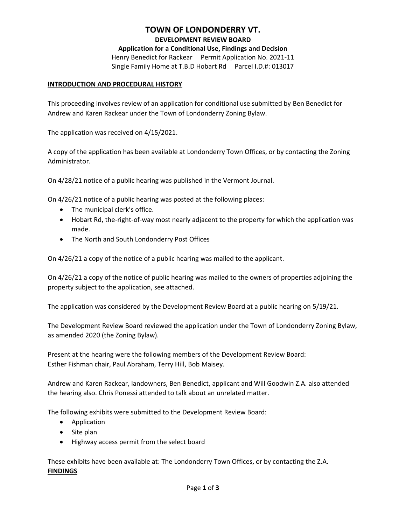## **TOWN OF LONDONDERRY VT.**

#### **DEVELOPMENT REVIEW BOARD**

**Application for a Conditional Use, Findings and Decision** Henry Benedict for Rackear Permit Application No. 2021-11

Single Family Home at T.B.D Hobart Rd Parcel I.D.#: 013017

#### **INTRODUCTION AND PROCEDURAL HISTORY**

This proceeding involves review of an application for conditional use submitted by Ben Benedict for Andrew and Karen Rackear under the Town of Londonderry Zoning Bylaw.

The application was received on 4/15/2021.

A copy of the application has been available at Londonderry Town Offices, or by contacting the Zoning Administrator.

On 4/28/21 notice of a public hearing was published in the Vermont Journal.

On 4/26/21 notice of a public hearing was posted at the following places:

- The municipal clerk's office.
- Hobart Rd, the-right-of-way most nearly adjacent to the property for which the application was made.
- The North and South Londonderry Post Offices

On 4/26/21 a copy of the notice of a public hearing was mailed to the applicant.

On 4/26/21 a copy of the notice of public hearing was mailed to the owners of properties adjoining the property subject to the application, see attached.

The application was considered by the Development Review Board at a public hearing on 5/19/21.

The Development Review Board reviewed the application under the Town of Londonderry Zoning Bylaw, as amended 2020 (the Zoning Bylaw).

Present at the hearing were the following members of the Development Review Board: Esther Fishman chair, Paul Abraham, Terry Hill, Bob Maisey.

Andrew and Karen Rackear, landowners, Ben Benedict, applicant and Will Goodwin Z.A. also attended the hearing also. Chris Ponessi attended to talk about an unrelated matter.

The following exhibits were submitted to the Development Review Board:

- Application
- Site plan
- Highway access permit from the select board

These exhibits have been available at: The Londonderry Town Offices, or by contacting the Z.A. **FINDINGS**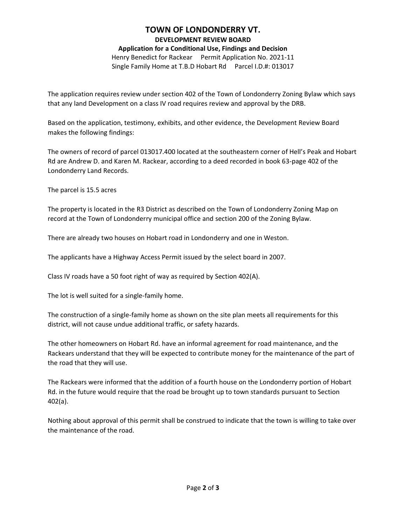## **TOWN OF LONDONDERRY VT.**

#### **DEVELOPMENT REVIEW BOARD**

**Application for a Conditional Use, Findings and Decision**

Henry Benedict for Rackear Permit Application No. 2021-11 Single Family Home at T.B.D Hobart Rd Parcel I.D.#: 013017

The application requires review under section 402 of the Town of Londonderry Zoning Bylaw which says that any land Development on a class IV road requires review and approval by the DRB.

Based on the application, testimony, exhibits, and other evidence, the Development Review Board makes the following findings:

The owners of record of parcel 013017.400 located at the southeastern corner of Hell's Peak and Hobart Rd are Andrew D. and Karen M. Rackear, according to a deed recorded in book 63-page 402 of the Londonderry Land Records.

The parcel is 15.5 acres

The property is located in the R3 District as described on the Town of Londonderry Zoning Map on record at the Town of Londonderry municipal office and section 200 of the Zoning Bylaw.

There are already two houses on Hobart road in Londonderry and one in Weston.

The applicants have a Highway Access Permit issued by the select board in 2007.

Class IV roads have a 50 foot right of way as required by Section 402(A).

The lot is well suited for a single-family home.

The construction of a single-family home as shown on the site plan meets all requirements for this district, will not cause undue additional traffic, or safety hazards.

The other homeowners on Hobart Rd. have an informal agreement for road maintenance, and the Rackears understand that they will be expected to contribute money for the maintenance of the part of the road that they will use.

The Rackears were informed that the addition of a fourth house on the Londonderry portion of Hobart Rd. in the future would require that the road be brought up to town standards pursuant to Section 402(a).

Nothing about approval of this permit shall be construed to indicate that the town is willing to take over the maintenance of the road.